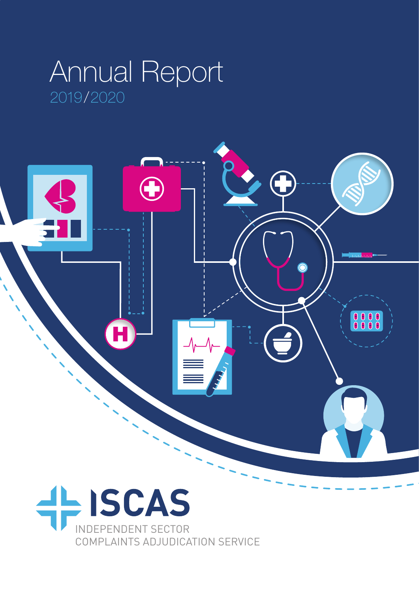## 2019/2020 Annual Report



INDEPENDENT SECTOR COMPLAINTS ADJUDICATION SERVICE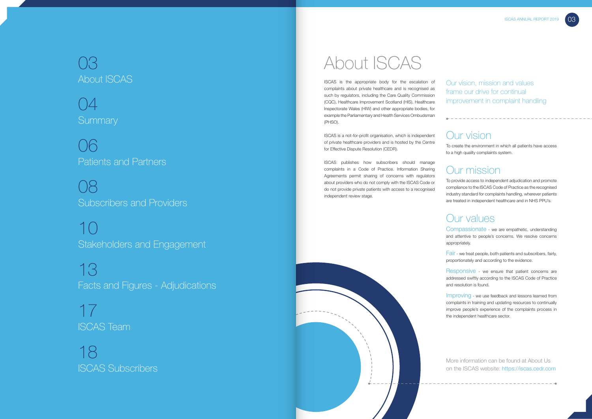### Our vision

To create the environment in which all patients have access to a high quality complaints system.

#### Our mission

To provide access to independent adjudication and promote compliance to the ISCAS Code of Practice as the recognised industry standard for complaints handling, wherever patients are treated in independent healthcare and in NHS PPU's.

## Our values

Compassionate - we are empathetic, understanding and attentive to people's concerns. We resolve concerns appropriately.

Fair - we treat people, both patients and subscribers, fairly, proportionately and according to the evidence.

**Summary** 04

Subscribers and Providers 08

> Responsive - we ensure that patient concerns are addressed swiftly according to the ISCAS Code of Practice and resolution is found.

> Improving - we use feedback and lessons learned from complaints in training and updating resources to continually improve people's experience of the complaints process in the independent healthcare sector.

# About ISCAS

Our vision, mission and values frame our drive for continual improvement in complaint handling

## About ISCAS 03

Patients and Partners 06

Stakeholders and Engagement 10

Facts and Figures - Adjudications 13

ISCAS Team 17

ISCAS Subscribers 18

ISCAS is the appropriate body for the escalation of complaints about private healthcare and is recognised as such by regulators, including the Care Quality Commission (CQC), Healthcare Improvement Scotland (HIS), Healthcare Inspectorate Wales (HIW) and other appropriate bodies, for example the Parliamentary and Health Services Ombudsman (PHSO).

ISCAS is a not-for-profit organisation, which is independent of private healthcare providers and is hosted by the Centre for Effective Dispute Resolution (CEDR).

ISCAS publishes how subscribers should manage complaints in a Code of Practice. Information Sharing Agreements permit sharing of concerns with regulators about providers who do not comply with the ISCAS Code or do not provide private patients with access to a recognised independent review stage.





More information can be found at About Us on the ISCAS website: https://iscas.cedr.com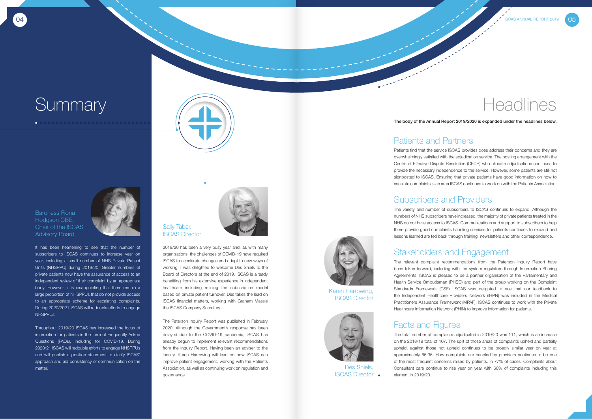05

#### Patients and Partners

Patients find that the service ISCAS provides does address their concerns and they are overwhelmingly satisfied with the adjudication service. The hosting arrangement with the Centre of Effective Dispute Resolution (CEDR) who allocate adjudications continues to provide the necessary independence to the service. However, some patients are still not signposted to ISCAS. Ensuring that private patients have good information on how to escalate complaints is an area ISCAS continues to work on with the Patients Association.

#### Subscribers and Providers

The variety and number of subscribers to ISCAS continues to expand. Although the numbers of NHS subscribers have increased, the majority of private patients treated in the NHS do not have access to ISCAS. Communications and support to subscribers to help them provide good complaints handling services for patients continues to expand and lessons learned are fed back through training, newsletters and other correspondence.

#### Stakeholders and Engagement

The relevant complaint recommendations from the Paterson Inquiry Report have been taken forward, including with the system regulators through Information Sharing Agreements. ISCAS is pleased to be a partner organisation of the Parliamentary and Health Service Ombudsman (PHSO) and part of the group working on the Complaint Standards Framework (CSF). ISCAS was delighted to see that our feedback to the Independent Healthcare Providers Network (IHPN) was included in the Medical Practitioners Assurance Framework (MPAF). ISCAS continues to work with the Private Healthcare Information Network (PHIN) to improve information for patients.

#### Facts and Figures

The total number of complaints adjudicated in 2019/20 was 111, which is an increase on the 2018/19 total of 107. The split of those areas of complaints upheld and partially upheld, against those not upheld continues to be broadly similar year on year at approximately 65:35. How complaints are handled by providers continues to be one of the most frequent concerns raised by patients, in 77% of cases. Complaints about Consultant care continue to rise year on year with 60% of complaints including this element in 2019/20.



The Paterson Inquiry Report was published in February 2020. Although the Government's response has been delayed due to the COVID-19 pandemic, ISCAS has already begun to implement relevant recommendations from the Inquiry Report. Having been an adviser to the inquiry, Karen Harrowing will lead on how ISCAS can improve patient engagement, working with the Patients Association, as well as continuing work on regulation and governance.

It has been heartening to see that the number of subscribers to ISCAS continues to increase year on year, including a small number of NHS Private Patient Units (NHSPPU) during 2019/20. Greater numbers of private patients now have the assurance of access to an independent review of their complaint by an appropriate body. However, it is disappointing that there remain a large proportion of NHSPPUs that do not provide access to an appropriate scheme for escalating complaints. During 2020/2021 ISCAS will redouble efforts to engage NHSPPUs.

Throughout 2019/20 ISCAS has increased the focus of information for patients in the form of Frequently Asked Questions (FAQs), including for COVID-19. During 2020/21 ISCAS will redouble efforts to engage NHSPPUs and will publish a position statement to clarify ISCAS' approach and aid consistency of communication on the matter.

# **Summary**



#### Baroness Fiona Hodgson CBE, Chair of the ISCAS Advisory Board

#### Sally Taber, ISCAS Director



The body of the Annual Report 2019/2020 is expanded under the headlines below.

Karen Harrowing, ISCAS Director

> Des Shiels, ISCAS Director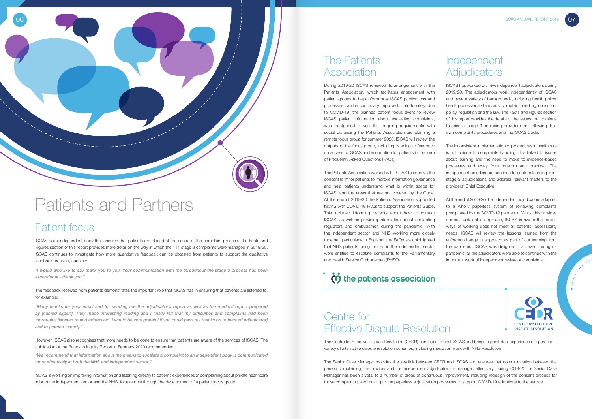## Centre for Effective Dispute Resolution

The Centre for Effective Dispute Resolution (CEDR) continues to host ISCAS and brings a great deal experience of operating a variety of alternative dispute resolution schemes, including mediation work with NHS Resolution.

The Senior Case Manager provides the key link between CEDR and ISCAS and ensures that communication between the person complaining, the provider and the independent adjudicator are managed effectively. During 2019/20 the Senior Case Manager has been pivotal to a number of areas of continuous improvement, including redesign of the consent process for those complaining and moving to the paperless adjudication processes to support COVID-19 adaptions to the service.



#### Patient focus

ISCAS is an independent body that ensures that patients are placed at the centre of the complaint process. The Facts and Figures section of this report provides more detail on the way in which the 111 stage 3 complaints were managed in 2019/20. ISCAS continues to investigate how more quantitative feedback can be obtained from patients to support the qualitative feedback received, such as:

*"I would also like to say thank you to you. Your communication with me throughout the stage 3 process has been exceptional - thank you."*

The feedback received from patients demonstrates the important role that ISCAS has in ensuring that patients are listened to, for example:

*"Many thanks for your email and for sending me the adjudicator's report as well as the medical report prepared by [named expert]. They made interesting reading and I finally felt that my difficulties and complaints had been thoroughly listened to and addressed. I would be very grateful if you could pass my thanks on to [named adjudicator] and to [named expert]."*

However, ISCAS also recognises that more needs to be done to ensure that patients are aware of the services of ISCAS. The publication of the Paterson Inquiry Report in February 2020 recommended:

#### Independent **Adjudicators**

*"We recommend that information about the means to escalate a complaint to an independent body is communicated more effectively in both the NHS and independent sector."*

ISCAS is working on improving information and listening directly to patients experiences of complaining about private healthcare in both the independent sector and the NHS, for example through the development of a patient focus group.

#### The Patients Association

During 2019/20 ISCAS renewed its arrangement with the Patients Association, which facilitates engagement with patient groups to help inform how ISCAS publications and processes can be continually improved. Unfortunately, due to COVID-19, the planned patient focus event to review ISCAS patient information about escalating complaints, was postponed. Given the ongoing requirements with social distancing the Patients Association are planning a remote focus group for summer 2020. ISCAS will review the outputs of the focus group, including listening to feedback on access to ISCAS and information for patients in the form of Frequently Asked Questions (FAQs).

The Patients Association worked with ISCAS to improve the consent form for patients to improve information governance and help patients understand what is within scope for ISCAS, and the areas that are not covered by the Code. At the end of 2019/20 the Patients Association supported ISCAS with COVID-19 FAQs to support the Patients Guide. This included informing patients about how to contact ISCAS, as well as providing information about contacting regulators and ombudsmen during the pandemic. With the independent sector and NHS working more closely together, particularly in England, the FAQs also highlighted that NHS patients being treated in the independent sector were entitled to escalate complaints to the Parliamentary and Health Service Ombudsman (PHSO).

## the patients association

## Patients and Partners

ISCAS has worked with five independent adjudicators during 2019/20. The adjudicators work independently of ISCAS and have a variety of backgrounds, including health policy, health professional standards, complaint handling, consumer policy, regulation and the law. The Facts and Figures section of this report provides the details of the issues that continue to arise at stage 3, including providers not following their own complaints procedures and the ISCAS Code.

The inconsistent implementation of procedures in healthcare is not unique to complaints handling. It is linked to issues about learning and the need to move to evidence-based processes and away from 'custom and practice'. The independent adjudicators continue to capture learning from stage 3 adjudications and address relevant matters to the providers' Chief Executive.

At the end of 2019/20 the independent adjudicators adapted to a wholly paperless system of reviewing complaints precipitated by the COVID-19 pandemic. Whilst this provides a more sustainable approach, ISCAS is aware that online ways of working does not meet all patients' accessibility needs. ISCAS will review the lessons learned from the enforced change in approach as part of our learning from the pandemic. ISCAS was delighted that, even through a pandemic, all the adjudicators were able to continue with the important work of independent review of complaints.

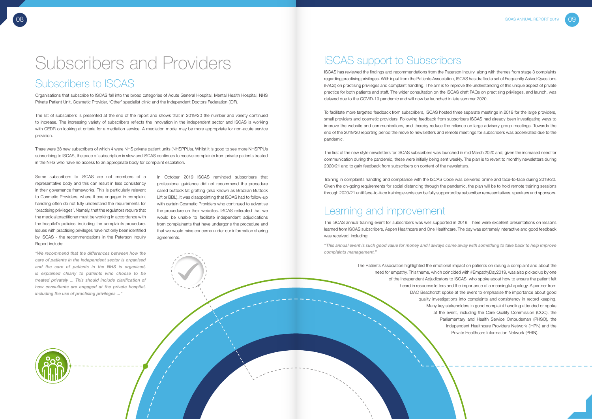In October 2019 ISCAS reminded subscribers that professional guidance did not recommend the procedure called buttock fat grafting (also known as Brazilian Buttock Lift or BBL). It was disappointing that ISCAS had to follow-up with certain Cosmetic Providers who continued to advertise the procedure on their websites. ISCAS reiterated that we would be unable to facilitate independent adjudications from complainants that have undergone the procedure and that we would raise concerns under our information sharing agreements.

# Subscribers and Providers

### Subscribers to ISCAS

Organisations that subscribe to ISCAS fall into the broad categories of Acute General Hospital, Mental Health Hospital, NHS Private Patient Unit, Cosmetic Provider, 'Other' specialist clinic and the Independent Doctors Federation (IDF).

The list of subscribers is presented at the end of the report and shows that in 2019/20 the number and variety continued to increase. The increasing variety of subscribers reflects the innovation in the independent sector and ISCAS is working with CEDR on looking at criteria for a mediation service. A mediation model may be more appropriate for non-acute service provision.

There were 38 new subscribers of which 4 were NHS private patient units (NHSPPUs). Whilst it is good to see more NHSPPUs subscribing to ISCAS, the pace of subscription is slow and ISCAS continues to receive complaints from private patients treated in the NHS who have no access to an appropriate body for complaint escalation.

Some subscribers to ISCAS are not members of a representative body and this can result in less consistency in their governance frameworks. This is particularly relevant to Cosmetic Providers, where those engaged in complaint handling often do not fully understand the requirements for 'practising privileges'. Namely, that the regulators require that the medical practitioner must be working in accordance with the hospital's policies, including the complaints procedure. Issues with practising privileges have not only been identified by ISCAS - the recommendations in the Paterson Inquiry Report include:

*"We recommend that the differences between how the care of patients in the independent sector is organised and the care of patients in the NHS is organised, is explained clearly to patients who choose to be treated privately ... This should include clarification of how consultants are engaged at the private hospital, including the use of practising privileges ..."*

#### ISCAS support to Subscribers

ISCAS has reviewed the findings and recommendations from the Paterson Inquiry, along with themes from stage 3 complaints regarding practising privileges. With input from the Patients Association, ISCAS has drafted a set of Frequently Asked Questions (FAQs) on practising privileges and complaint handling. The aim is to improve the understanding of this unique aspect of private practice for both patients and staff. The wider consultation on the ISCAS draft FAQs on practising privileges, and launch, was delayed due to the COVID-19 pandemic and will now be launched in late summer 2020.

To facilitate more targeted feedback from subscribers, ISCAS hosted three separate meetings in 2019 for the large providers, small providers and cosmetic providers. Following feedback from subscribers ISCAS had already been investigating ways to improve the website and communications, and thereby reduce the reliance on large advisory group meetings. Towards the end of the 2019/20 reporting period the move to newsletters and remote meetings for subscribers was accelerated due to the pandemic.

The first of the new style newsletters for ISCAS subscribers was launched in mid March 2020 and, given the increased need for communication during the pandemic, these were initially being sent weekly. The plan is to revert to monthly newsletters during 2020/21 and to gain feedback from subscribers on content of the newsletters.

Training in complaints handling and compliance with the ISCAS Code was delivered online and face-to-face during 2019/20. Given the on-going requirements for social distancing through the pandemic, the plan will be to hold remote training sessions through 2020/21 until face-to-face training events can be fully supported by subscriber representatives, speakers and sponsors.

#### Learning and improvement

The ISCAS annual training event for subscribers was well supported in 2019. There were excellent presentations on lessons learned from ISCAS subscribers, Aspen Healthcare and One Healthcare. The day was extremely interactive and good feedback was received, including:

*"This annual event is such good value for money and I always come away with something to take back to help improve complaints management."*

> The Patients Association highlighted the emotional impact on patients on raising a complaint and about the need for empathy. This theme, which coincided with #EmpathyDay2019, was also picked up by one of the Independent Adjudicators to ISCAS, who spoke about how to ensure the patient felt heard in response letters and the importance of a meaningful apology. A partner from DAC Beachcroft spoke at the event to emphasise the importance about good quality investigations into complaints and consistency in record keeping. Many key stakeholders in good complaint handling attended or spoke at the event, including the Care Quality Commission (CQC), the Parliamentary and Health Service Ombudsman (PHSO), the Independent Healthcare Providers Network (IHPN) and the Private Healthcare Information Network (PHIN).





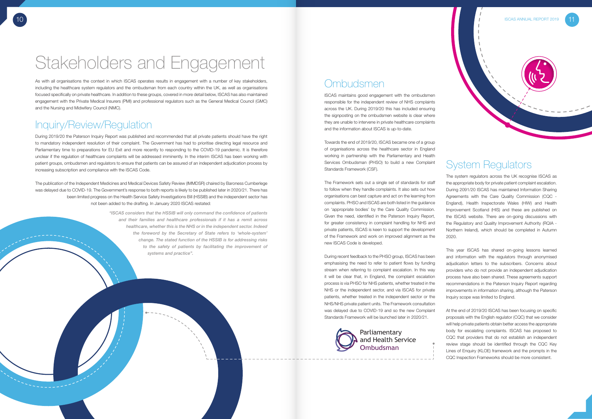#### Inquiry/Review/Regulation

During 2019/20 the Paterson Inquiry Report was published and recommended that all private patients should have the right to mandatory independent resolution of their complaint. The Government has had to prioritise directing legal resource and Parliamentary time to preparations for EU Exit and more recently to responding to the COVID-19 pandemic. It is therefore unclear if the regulation of healthcare complaints will be addressed imminently. In the interim ISCAS has been working with patient groups, ombudsmen and regulators to ensure that patients can be assured of an independent adjudication process by increasing subscription and compliance with the ISCAS Code.

The publication of the Independent Medicines and Medical Devices Safety Review (IMMDSR) chaired by Baroness Cumberlege was delayed due to COVID-19. The Government's response to both reports is likely to be published later in 2020/21. There has been limited progress on the Health Service Safety Investigations Bill (HSSIB) and the independent sector has not been added to the drafting. In January 2020 ISCAS restated:

> *"ISCAS considers that the HSSIB will only command the confidence of patients and their families and healthcare professionals if it has a remit across healthcare, whether this is the NHS or in the independent sector. Indeed the foreword by the Secretary of State refers to 'whole-system' change. The stated function of the HSSIB is for addressing risks to the safety of patients by facilitating the improvement of systems and practice".*

#### **Ombudsmen**



# Stakeholders and Engagement

## System Regulators

The system regulators across the UK recognise ISCAS as the appropriate body for private patient complaint escalation. During 2091/20 ISCAS has maintained Information Sharing Agreements with the Care Quality Commission (CQC - England), Health Inspectorate Wales (HIW) and Health Improvement Scotland (HIS) and these are published on the ISCAS website. There are on-going discussions with the Regulatory and Quality Improvement Authority (RQIA - Northern Ireland), which should be completed in Autumn 2020.

This year ISCAS has shared on-going lessons learned and information with the regulators through anonymised adjudication letters to the subscribers. Concerns about providers who do not provide an independent adjudication process have also been shared. These agreements support recommendations in the Paterson Inquiry Report regarding improvements in information sharing, although the Paterson Inquiry scope was limited to England.

At the end of 2019/20 ISCAS has been focusing on specific proposals with the English regulator (CQC) that we consider will help private patients obtain better access the appropriate body for escalating complaints. ISCAS has proposed to CQC that providers that do not establish an independent review stage should be identified through the CQC Key Lines of Enquiry (KLOE) framework and the prompts in the CQC Inspection Frameworks should be more consistent.

ISCAS maintains good engagement with the ombudsmen responsible for the independent review of NHS complaints across the UK. During 2019/20 this has included ensuring the signposting on the ombudsmen website is clear where they are unable to intervene in private healthcare complaints and the information about ISCAS is up-to-date.

Towards the end of 2019/20, ISCAS became one of a group of organisations across the healthcare sector in England working in partnership with the Parliamentary and Health Services Ombudsman (PHSO) to build a new Complaint Standards Framework (CSF).

The Framework sets out a single set of standards for staff to follow when they handle complaints. It also sets out how organisations can best capture and act on the learning from complaints. PHSO and ISCAS are both listed in the guidance on 'appropriate bodies' by the Care Quality Commission. Given the need, identified in the Paterson Inquiry Report, for greater consistency in complaint handling for NHS and private patients, ISCAS is keen to support the development of the Framework and work on improved alignment as the new ISCAS Code is developed.

During recent feedback to the PHSO group, ISCAS has been emphasising the need to refer to patient flows by funding stream when referring to complaint escalation. In this way it will be clear that, in England, the complaint escalation process is via PHSO for NHS patients, whether treated in the NHS or the independent sector, and via ISCAS for private patients, whether treated in the independent sector or the NHS/NHS private patient units. The Framework consultation was delayed due to COVID-19 and so the new Complaint Standards Framework will be launched later in 2020/21.



As with all organisations the context in which ISCAS operates results in engagement with a number of key stakeholders, including the healthcare system regulators and the ombudsman from each country within the UK, as well as organisations focused specifically on private healthcare. In addition to these groups, covered in more detail below, ISCAS has also maintained engagement with the Private Medical Insurers (PMI) and professional regulators such as the General Medical Council (GMC) and the Nursing and Midwifery Council (NMC).

> Parliamentary and Health Service Ombudsman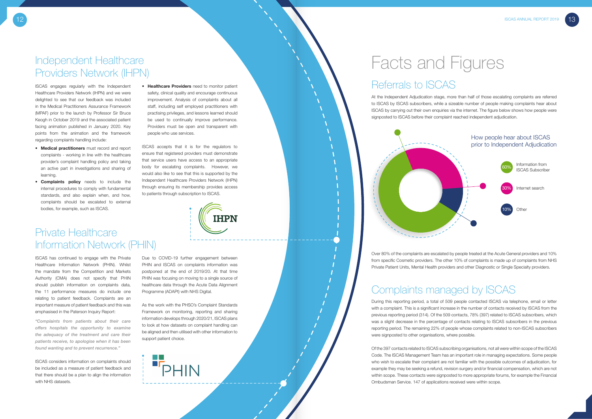ISCAS engages regularly with the Independent Healthcare Providers Network (IHPN) and we were delighted to see that our feedback was included in the Medical Practitioners Assurance Framework (MPAF) prior to the launch by Professor Sir Bruce Keogh in October 2019 and the associated patient facing animation published in January 2020. Key points from the animation and the framework regarding complaints handling include:

- Medical practitioners must record and report complaints - working in line with the healthcare provider's complaint handling policy and taking an active part in investigations and sharing of learning.
- • Complaints policy needs to include the internal procedures to comply with fundamental standards, and also explain when, and how, complaints should be escalated to external bodies, for example, such as ISCAS.

• Healthcare Providers need to monitor patient safety, clinical quality and encourage continuous improvement. Analysis of complaints about all staff, including self employed practitioners with practising privileges, and lessons learned should be used to continually improve performance. Providers must be open and transparent with people who use services.

ISCAS accepts that it is for the regulators to ensure that registered providers must demonstrate that service users have access to an appropriate body for escalating complaints. However, we would also like to see that this is supported by the Independent Healthcare Providers Network (IHPN) through ensuring its membership provides access to patients through subscription to ISCAS.



ISCAS has continued to engage with the Private Healthcare Information Network (PHIN). Whilst the mandate from the Competition and Markets Authority (CMA) does not specify that PHIN should publish information on complaints data, the 11 performance measures do include one relating to patient feedback. Complaints are an important measure of patient feedback and this was emphasised in the Paterson Inquiry Report:

*"Complaints from patients about their care offers hospitals the opportunity to examine the adequacy of the treatment and care their patients receive, to apologise when it has been found wanting and to prevent recurrence."* 

ISCAS considers information on complaints should be included as a measure of patient feedback and that there should be a plan to align the information with NHS datasets.



Due to COVID-19 further engagement between PHIN and ISCAS on complaints information was postponed at the end of 2019/20. At that time PHIN was focusing on moving to a single source of healthcare data through the Acute Data Alignment Programme (ADAPt) with NHS Digital.

As the work with the PHSO's Complaint Standards Framework on monitoring, reporting and sharing information develops through 2020/21, ISCAS plans to look at how datasets on complaint handling can be aligned and then utilised with other information to support patient choice.

**PHIN** 

## Facts and Figures

## Referrals to ISCAS

At the Independent Adjudication stage, more than half of those escalating complaints are referred to ISCAS by ISCAS subscribers, while a sizeable number of people making complaints hear about ISCAS by carrying out their own enquiries via the internet. The figure below shows how people were signposted to ISCAS before their complaint reached independent adjudication.

### Complaints managed by ISCAS

During this reporting period, a total of 509 people contacted ISCAS via telephone, email or letter with a complaint. This is a significant increase in the number of contacts received by ISCAS from the previous reporting period (314). Of the 509 contacts, 78% (397) related to ISCAS subscribers, which was a slight decrease in the percentage of contacts relating to ISCAS subscribers in the previous reporting period. The remaining 22% of people whose complaints related to non-ISCAS subscribers were signposted to other organisations, where possible.



Of the 397 contacts related to ISCAS subscribing organisations, not all were within scope of the ISCAS Code. The ISCAS Management Team has an important role in managing expectations. Some people who wish to escalate their complaint are not familiar with the possible outcomes of adjudication, for example they may be seeking a refund, revision surgery and/or financial compensation, which are not within scope. These contacts were signposted to more appropriate forums, for example the Financial Ombudsman Service. 147 of applications received were within scope.

Over 80% of the complaints are escalated by people treated at the Acute General providers and 10% from specific Cosmetic providers. The other 10% of complaints is made up of complaints from NHS Private Patient Units, Mental Health providers and other Diagnostic or Single Specialty providers.

### Independent Healthcare Providers Network (IHPN)

## Private Healthcare Information Network (PHIN)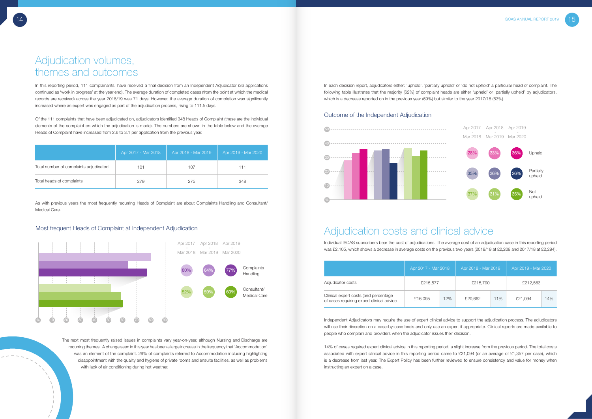|                                        | Apr 2017 - Mar 2018 <sup>1</sup> | Apr 2018 - Mar 2019 | Apr 2019 - Mar 2020 |
|----------------------------------------|----------------------------------|---------------------|---------------------|
| Total number of complaints adjudicated | 101                              | 107                 | 111                 |
| Total heads of complaints              | 279                              | 275                 | 348                 |



In this reporting period, 111 complainants' have received a final decision from an Independent Adjudicator (36 applications continued as 'work in progress' at the year end). The average duration of completed cases (from the point at which the medical records are received) across the year 2018/19 was 71 days. However, the average duration of completion was significantly increased where an expert was engaged as part of the adjudication process, rising to 111.5 days.

Of the 111 complaints that have been adjudicated on, adjudicators identified 348 Heads of Complaint (these are the individual elements of the complaint on which the adjudication is made). The numbers are shown in the table below and the average Heads of Complaint have increased from 2.6 to 3.1 per application from the previous year.

#### Most frequent Heads of Complaint at Independent Adjudication

As with previous years the most frequently recurring Heads of Complaint are about Complaints Handling and Consultant/ Medical Care.

> The next most frequently raised issues in complaints vary year-on-year, although Nursing and Discharge are recurring themes. A change seen in this year has been a large increase in the frequency that 'Accommodation' was an element of the complaint. 29% of complaints referred to Accommodation including highlighting disappointment with the quality and hygiene of private rooms and ensuite facilities, as well as problems with lack of air conditioning during hot weather.

#### Outcome of the Independent Adjudication



In each decision report, adjudicators either: 'uphold', 'partially uphold' or 'do not uphold' a particular head of complaint. The following table illustrates that the majority (62%) of complaint heads are either 'upheld' or 'partially upheld' by adjudicators, which is a decrease reported on in the previous year (69%) but similar to the year 2017/18 (63%).

|                                                                                    | Apr 2017 - Mar 2018 |     | Apr 2018 - Mar 2019 |     | Apr 2019 - Mar 2020 |     |
|------------------------------------------------------------------------------------|---------------------|-----|---------------------|-----|---------------------|-----|
| Adjudicator costs                                                                  | £215,577            |     | £215,790            |     | £212,563            |     |
| Clinical expert costs (and percentage<br>of cases requiring expert clinical advice | £16,095             | 12% | £20,662             | 11% | £21.094             | 14% |

#### Adjudication costs and clinical advice

Individual ISCAS subscribers bear the cost of adjudications. The average cost of an adjudication case in this reporting period was £2,105, which shows a decrease in average costs on the previous two years (2018/19 at £2,209 and 2017/18 at £2,294).



Independent Adjudicators may require the use of expert clinical advice to support the adjudication process. The adjudicators will use their discretion on a case-by-case basis and only use an expert if appropriate. Clinical reports are made available to people who complain and providers when the adjudicator issues their decision.

14% of cases required expert clinical advice in this reporting period, a slight increase from the previous period. The total costs associated with expert clinical advice in this reporting period came to £21,094 (or an average of £1,357 per case), which is a decrease from last year. The Expert Policy has been further reviewed to ensure consistency and value for money when instructing an expert on a case.

#### Adjudication volumes, themes and outcomes

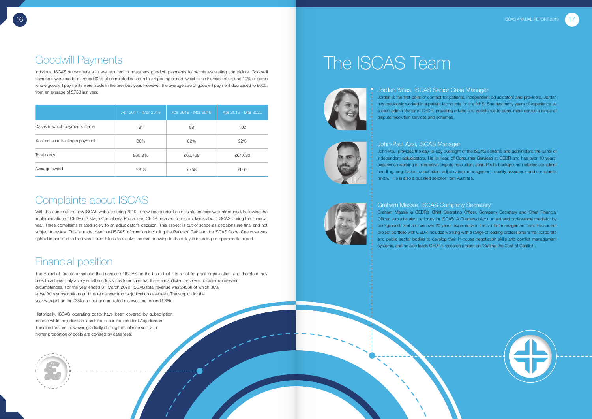|                                 | Apr 2017 - Mar 2018 | Apr 2018 - Mar 2019 | Apr 2019 - Mar 2020 |
|---------------------------------|---------------------|---------------------|---------------------|
| Cases in which payments made    | 81                  | 88                  | 102                 |
| % of cases attracting a payment | 80%                 | 82%                 | 92%                 |
| Total costs                     | £65,815             | £66,728             | £61,683             |
| Average award                   | £813                | £758                | £605                |



## Goodwill Payments

Individual ISCAS subscribers also are required to make any goodwill payments to people escalating complaints. Goodwill payments were made in around 92% of completed cases in this reporting period, which is an increase of around 10% of cases where goodwill payments were made in the previous year. However, the average size of goodwill payment decreased to £605, from an average of £758 last year.

### Complaints about ISCAS

With the launch of the new ISCAS website during 2019, a new independent complaints process was introduced. Following the implementation of CEDR's 3 stage Complaints Procedure, CEDR received four complaints about ISCAS during the financial year. Three complaints related solely to an adjudicator's decision. This aspect is out of scope as decisions are final and not subject to review. This is made clear in all ISCAS information including the Patients' Guide to the ISCAS Code. One case was upheld in part due to the overall time it took to resolve the matter owing to the delay in sourcing an appropriate expert.

## Financial position

The Board of Directors manage the finances of ISCAS on the basis that it is a not-for-profit organisation, and therefore they seek to achieve only a very small surplus so as to ensure that there are sufficient reserves to cover unforeseen circumstances. For the year ended 31 March 2020, ISCAS total revenue was £456k of which 38% arose from subscriptions and the remainder from adjudication case fees. The surplus for the year was just under £35k and our accumulated reserves are around £86k

Historically, ISCAS operating costs have been covered by subscription income whilst adjudication fees funded our Independent Adjudicators. The directors are, however, gradually shifting the balance so that a higher proportion of costs are covered by case fees.



# The ISCAS Team



Jordan Yates, ISCAS Senior Case Manager Jordan is the first point of contact for patients, independent adjudicators and providers. Jordan has previously worked in a patient facing role for the NHS. She has many years of experience as a case administrator at CEDR, providing advice and assistance to consumers across a range of dispute resolution services and schemes

John-Paul provides the day-to-day oversight of the ISCAS scheme and administers the panel of independent adjudicators. He is Head of Consumer Services at CEDR and has over 10 years' experience working in alternative dispute resolution. John-Paul's background includes complaint handling, negotiation, conciliation, adjudication, management, quality assurance and complaints



# John-Paul Azzi, ISCAS Manager review. He is also a qualified solicitor from Australia.



Graham Massie, ISCAS Company Secretary Graham Massie is CEDR's Chief Operating Officer, Company Secretary and Chief Financial Officer, a role he also performs for ISCAS. A Chartered Accountant and professional mediator by background, Graham has over 20 years' experience in the conflict management field. His current project portfolio with CEDR includes working with a range of leading professional firms, corporate and public sector bodies to develop their in-house negotiation skills and conflict management systems, and he also leads CEDR's research project on 'Cutting the Cost of Conflict'.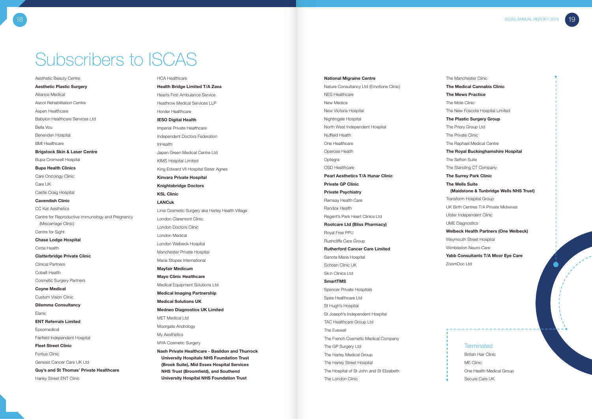Aesthetic Beauty Centre Aesthetic Plastic Surgery Alliance Medical Ascot Rehabilitation Centre Aspen Healthcare Babylon Healthcare Services Ltd Bella Vou Benenden Hospital BMI Healthcare Brigstock Skin & Laser Centre Bupa Cromwell Hospital Bupa Health Clinics Care Oncology Clinic Care UK Castle Craig Hospital Cavendish Clinic CC Kat Aesthetics Centre for Reproductive Immunology and Pregnancy (Miscarriage Clinic) Centre for Sight Chase Lodge Hospital Circle Health Clatterbridge Private Clinic Clinical Partners Cobalt Health Cosmetic Surgery Partners Coyne Medical Custom Vision Clinic Dilemma Consultancy Elanic ENT Referrals Limited Epsomedical Fairfield Independent Hospital Fleet Street Clinic Fortius Clinic Genesis Cancer Care UK Ltd Guy's and St Thomas' Private Healthcare Harley Street ENT Clinic

# Subscribers to ISCAS

#### HCA Healthcare

Health Bridge Limited T/A Zava Hearts First Ambulance Service Heathrow Medical Services LLP Horder Healthcare IESO Digital Health Imperial Private Healthcare Independent Doctors Federation InHealth Japan Green Medical Centre Ltd KIMS Hospital Limited King Edward VII Hospital Sister Agnes Kinvara Private Hospital Knightsbridge Doctors KSL Clinic LANCuk Linia Cosmetic Surgery aka Harley Health Village London Claremont Clinic London Doctors Clinic London Medical London Welbeck Hospital Manchester Private Hospital Marie Stopes International Mayfair Medicum Mayo Clinic Healthcare Medical Equipment Solutions Ltd Medical Imaging Partnership Medical Solutions UK Medneo Diagnostics UK Limited MET Medical Ltd Moorgate Andrology My Aesthetics MYA Cosmetic Surgery Nash Private Healthcare - Basildon and Thurrock University Hospitals NHS Foundation Trust (Brook Suite), Mid Essex Hospital Services

NHS Trust (Broomfield), and Southend University Hospital NHS Foundation Trust National Migraine Centre

18 ISCAS ANNUAL REPORT 2019

Nature Consultancy Ltd (Emotions Clinic) NES Healthcare New Medica New Victoria Hospital Nightingale Hospital North West Independent Hospital Nuffield Health One Healthcare Operose Health Optegra OSD Healthcare Pearl Aesthetics T/A Hunar Clinic Private GP Clinic Private Psychiatry Ramsay Health Care Randox Health Regent's Park Heart Clinics Ltd Rootcare Ltd (Bliss Pharmacy) Royal Free PPU Rushcliffe Care Group Rutherford Cancer Care Limited Sancta Maria Hospital Schoen Clinic UK Sk:n Clinics Ltd SmartTMS Spencer Private Hospitals Spire Healthcare Ltd St Hugh's Hospital St Joseph's Independent Hospital TAC Healthcare Group Ltd The Evewell The French Cosmetic Medical Company The GP Surgery Ltd The Harley Medical Group The Harley Street Hospital The Hospital of St John and St Elizabeth The London Clinic

The Manchester Clinic The Medical Cannabis Clinic The Mews Practice The Mole Clinic The New Foscote Hospital Limited The Plastic Surgery Group The Priory Group Ltd The Private Clinic The Raphael Medical Centre The Royal Buckinghamshire Hospital The Sefton Suite The Standing CT Company The Surrey Park Clinic The Wells Suite (Maidstone & Tunbridge Wells NHS Trust) Transform Hospital Group UK Birth Centres T/A Private Midwives Ulster Independent Clinic UME Diagnostics Welbeck Health Partners (One Welbeck) Weymouth Street Hospital Wimbledon Neuro-Care Yabb Consultants T/A Moor Eye Care ZoomDoc Ltd

#### **Terminated**

British Hair Clinic ME Clinic One Health Medical Group Secure Care UK